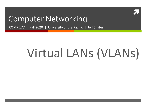

## Computer Networking

COMP 177 | Fall 2020 | University of the Pacific | Jeff Shafer

# Virtual LANs (VLANs)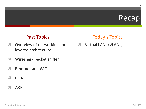## Recap

#### **Past Topics**

- Overview of networking and  $\overline{\phantom{a}}$ layered architecture
- Wireshark packet sniffer 7
- **Ethernet and WiFi** 7
- $IPv4$ 7
- **ARP** 71

#### **Today's Topics**

**7** Virtual LANs (VLANs)

 $\overline{2}$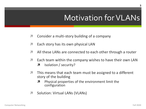# **Motivation for VLANs**

- Consider a multi-story building of a company 7
- Each story has its own physical LAN 7
- All these LANs are connected to each other through a router 7
- Each team within the company wishes to have their own LAN 7
	- Isolation / security? 7
- This means that each team must be assigned to a different 7 story of the building
	- Physical properties of the environment limit the 7 configuration
- Solution: Virtual LANs (VLANs) 7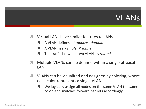## **VLANS**

- Virtual LANs have similar features to LANs 71
	- A VLAN defines a *broadcast domain* 7
	- A VLAN has a single IP subnet Л.
	- The traffic between two VLANs is *routed* 7
- Multiple VLANs can be defined within a single physical  $\overline{\phantom{a}}$ LAN
- 7 VLANs can be visualized and designed by coloring, where each color represents a single VLAN
	- We logically assign all nodes on the same VLAN the same 7 color, and switches forward packets accordingly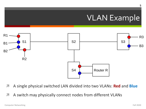# VLAN Example



- A single physical switched LAN divided into two VLANs: Red and Blue 7
- A switch may physically connect nodes from different VLANs 7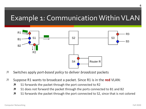

- Switches apply port-based policy to deliver broadcast packets  $\overline{\phantom{a}}$
- $\overline{\mathbf{z}}$ Suppose R1 wants to broadcast a packet. Since R1 is in the red VLAN:
	- S1 forwards the packet through the port connected to R2 7
	- S1 does not forward the packet through the ports connected to B1 and B2  $\overline{\mathbf{z}}$
	- $\overline{\mathbf{z}}$ S1 forwards the packet through the port connected to S2, since that is not colored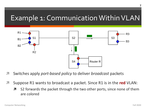

- Switches apply port-based policy to deliver broadcast packets 71
- Suppose R1 wants to broadcast a packet. Since R1 is in the red VLAN: 71
	- S2 forwards the packet through the two other ports, since none of them Я are colored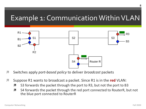

- 7 Switches apply port-based policy to deliver broadcast packets
- Suppose R1 wants to broadcast a packet. Since R1 is in the red VLAN: 7
	- S3 forwards the packet through the port to R3, but not the port to B3 Л
	- S4 forwards the packet through the red port connected to RouterR, but not Л. the blue port connected to RouterR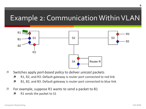

- Switches apply port-based policy to deliver unicast packets  $\overline{\mathbf{z}}$ 
	- R1, R2, and R3: Default gateway is router port connected to red link Л
	- B1, B2, and B3: Default gateway is router port connected to blue link Л
- For example, suppose R1 wants to send a packet to B1 7
	- R1 sends the packet to S1 7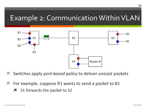

- Switches apply port-based policy to deliver unicast packets
- For example, suppose R1 wants to send a packet to B1  $\overline{\phantom{a}}$ 
	- S1 forwards the packet to S2 7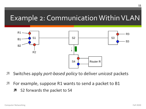

- Switches apply port-based policy to deliver unicast packets
- For example, suppose R1 wants to send a packet to B1  $\overline{\phantom{a}}$ 
	- S2 forwards the packet to S4 7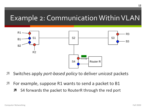

- Switches apply port-based policy to deliver unicast packets
- For example, suppose R1 wants to send a packet to B1  $\overline{\phantom{a}}$ 
	- S4 forwards the packet to RouterR through the red port 7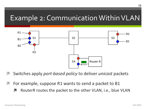

- Switches apply port-based policy to deliver unicast packets
- For example, suppose R1 wants to send a packet to B1  $\overline{\phantom{a}}$ 
	- RouterR routes the packet to the other VLAN, i.e., blue VLAN 7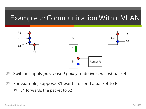

- Switches apply port-based policy to deliver unicast packets
- For example, suppose R1 wants to send a packet to B1  $\overline{\phantom{a}}$ 
	- S4 forwards the packet to S2 7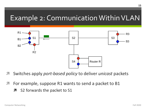

- Switches apply port-based policy to deliver unicast packets
- For example, suppose R1 wants to send a packet to B1  $\overline{\phantom{a}}$ 
	- S2 forwards the packet to S1 7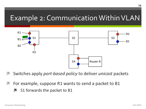

- Switches apply port-based policy to deliver unicast packets
- For example, suppose R1 wants to send a packet to B1  $\overline{\phantom{a}}$ 
	- S1 forwards the packet to B1 7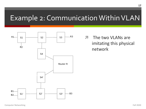

**7** The two VLANs are imitating this physical network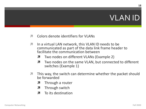## **VLAN ID**

- Colors denote identifiers for VLANs  $\mathbf{z}$
- In a virtual LAN network, this VLAN ID needs to be 7 communicated as part of the data link frame header to facilitate the communication between
	- Two nodes on different VLANs (Example 2) 7
	- Two nodes on the same VLAN, but connected to different Я. switches (Example 1)
- This way, the switch can determine whether the packet should 7 be forwarded
	- Through a router 7
	- Through switch Л.
	- To its destination 7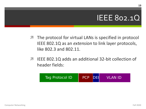## IEEE 802.1Q

- **7** The protocol for virtual LANs is specified in protocol IEEE 802.1Q as an *extension* to link layer protocols, like 802.3 and 802.11.
- **7** IEEE 802.1Q adds an additional 32-bit collection of header fields:

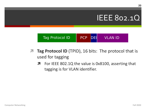## IEEE 802.1Q



- **7 Tag Protocol ID** (TPID), 16 bits: The protocol that is used for tagging
	- **7** For IEEE 802.1Q the value is 0x8100, asserting that tagging is for VLAN identifier.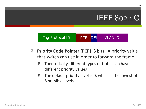## IEEE 802.1Q



- *A* Priority Code Pointer (PCP), 3 bits: A priority value that switch can use in order to forward the frame
	- $\lambda$  Theoretically, different types of traffic can have different priority values
	- $\lambda$  The default priority level is 0, which is the lowest of 8 possible levels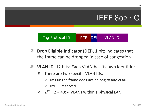## <u>IEEE 802.10.</u>



- **Drop Eligible Indicator (DEI), 1 bit: indicates that**  $\overline{\phantom{a}}$ the frame can be dropped in case of congestion
- **7 VLAN ID, 12 bits: Each VLAN has its own identifier** 
	- There are two specific VLAN IDs: 7
		- Ox000: the frame does not belong to any VLAN
		- **7** OxFFF: reserved
	- $72^{12} 2 = 4094$  VLANs within a physical LAN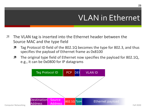## VLAN in Ethernet

- **7** The VLAN tag is inserted into the Ethernet header between the Source MAC and the type field
	- **7** Tag Protocol ID field of the 802.1Q becomes the type for 802.3, and thus specifies the payload of Ethernet frame as 0x8100
	- $\lambda$  The original type field of Ethernet now specifies the payload for 802.1Q, e.g., it can be 0x0800 for IP datagrams